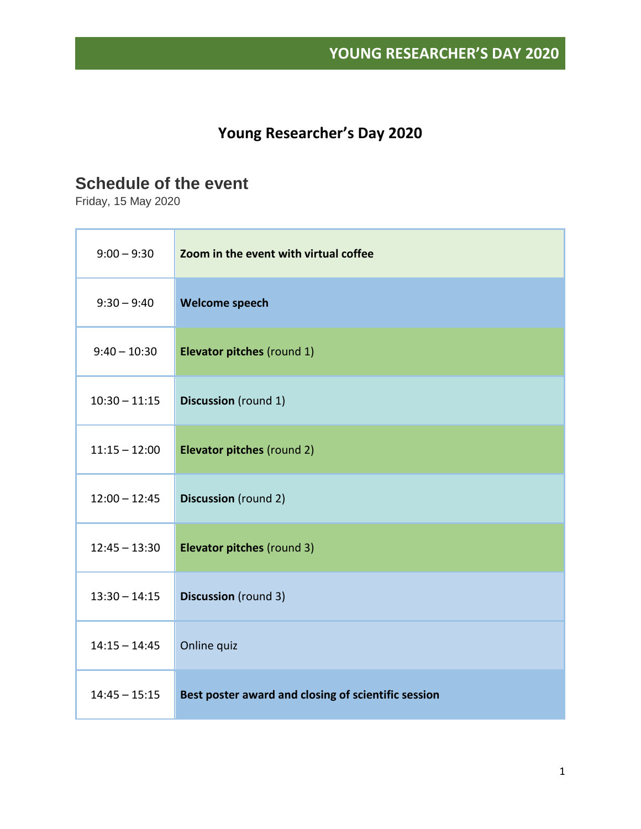### **Young Researcher's Day 2020**

#### **Schedule of the event**

Friday, 15 May 2020

| $9:00 - 9:30$   | Zoom in the event with virtual coffee               |
|-----------------|-----------------------------------------------------|
| $9:30 - 9:40$   | Welcome speech                                      |
| $9:40 - 10:30$  | Elevator pitches (round 1)                          |
| $10:30 - 11:15$ | <b>Discussion</b> (round 1)                         |
| $11:15 - 12:00$ | Elevator pitches (round 2)                          |
| $12:00 - 12:45$ | <b>Discussion</b> (round 2)                         |
| $12:45 - 13:30$ | Elevator pitches (round 3)                          |
| $13:30 - 14:15$ | <b>Discussion</b> (round 3)                         |
| $14:15 - 14:45$ | Online quiz                                         |
| $14:45 - 15:15$ | Best poster award and closing of scientific session |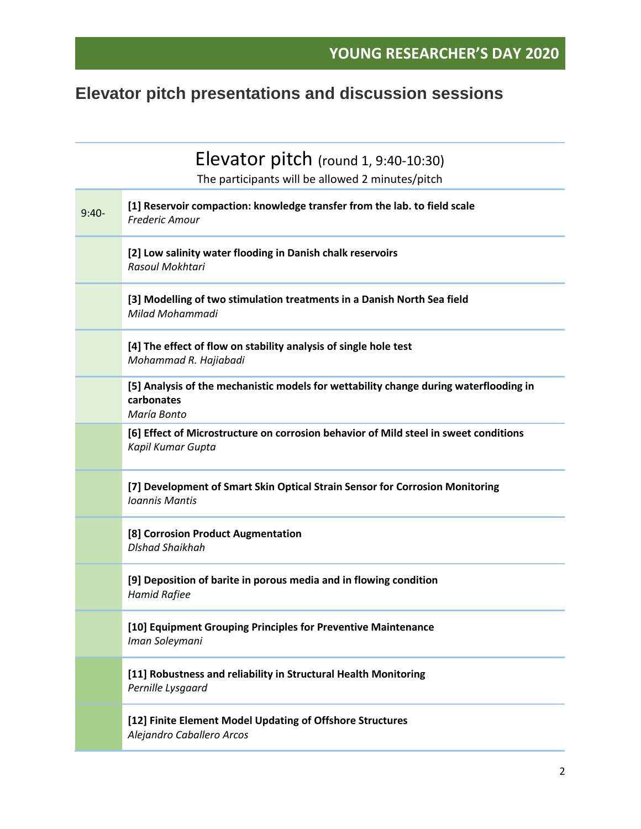# **Elevator pitch presentations and discussion sessions**

|         | Elevator pitch (round $1, 9:40-10:30$ )                                                                            |
|---------|--------------------------------------------------------------------------------------------------------------------|
|         | The participants will be allowed 2 minutes/pitch                                                                   |
| $9:40-$ | [1] Reservoir compaction: knowledge transfer from the lab. to field scale<br><b>Frederic Amour</b>                 |
|         | [2] Low salinity water flooding in Danish chalk reservoirs<br>Rasoul Mokhtari                                      |
|         | [3] Modelling of two stimulation treatments in a Danish North Sea field<br>Milad Mohammadi                         |
|         | [4] The effect of flow on stability analysis of single hole test<br>Mohammad R. Hajiabadi                          |
|         | [5] Analysis of the mechanistic models for wettability change during waterflooding in<br>carbonates<br>María Bonto |
|         | [6] Effect of Microstructure on corrosion behavior of Mild steel in sweet conditions<br>Kapil Kumar Gupta          |
|         | [7] Development of Smart Skin Optical Strain Sensor for Corrosion Monitoring<br><b>Ioannis Mantis</b>              |
|         | [8] Corrosion Product Augmentation<br><b>Dishad Shaikhah</b>                                                       |
|         | [9] Deposition of barite in porous media and in flowing condition<br><b>Hamid Rafiee</b>                           |
|         | [10] Equipment Grouping Principles for Preventive Maintenance<br>Iman Soleymani                                    |
|         | [11] Robustness and reliability in Structural Health Monitoring<br>Pernille Lysgaard                               |
|         | [12] Finite Element Model Updating of Offshore Structures<br>Alejandro Caballero Arcos                             |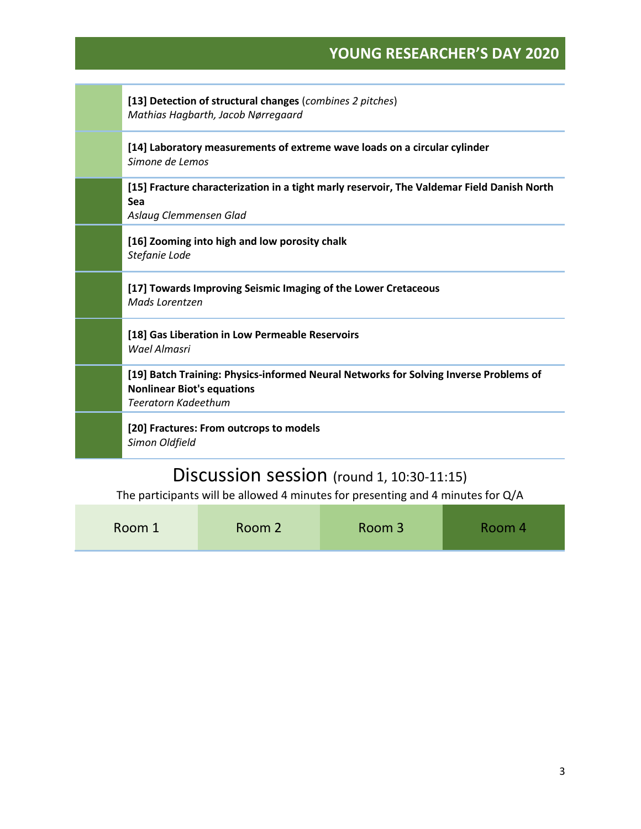| [13] Detection of structural changes (combines 2 pitches)<br>Mathias Hagbarth, Jacob Nørregaard                                                          |
|----------------------------------------------------------------------------------------------------------------------------------------------------------|
| [14] Laboratory measurements of extreme wave loads on a circular cylinder<br>Simone de Lemos                                                             |
| [15] Fracture characterization in a tight marly reservoir, The Valdemar Field Danish North<br>Sea<br>Aslaug Clemmensen Glad                              |
| [16] Zooming into high and low porosity chalk<br>Stefanie Lode                                                                                           |
| [17] Towards Improving Seismic Imaging of the Lower Cretaceous<br>Mads Lorentzen                                                                         |
| [18] Gas Liberation in Low Permeable Reservoirs<br>Wael Almasri                                                                                          |
| [19] Batch Training: Physics-informed Neural Networks for Solving Inverse Problems of<br><b>Nonlinear Biot's equations</b><br><b>Teeratorn Kadeethum</b> |
| [20] Fractures: From outcrops to models<br>Simon Oldfield                                                                                                |
| r:<br>$\frac{1}{2}$                                                                                                                                      |

#### Discussion session (round 1, 10:30-11:15)

The participants will be allowed 4 minutes for presenting and 4 minutes for Q/A

| Room 1 | Room 2 | Room 3 | Room 4 |
|--------|--------|--------|--------|
|        |        |        |        |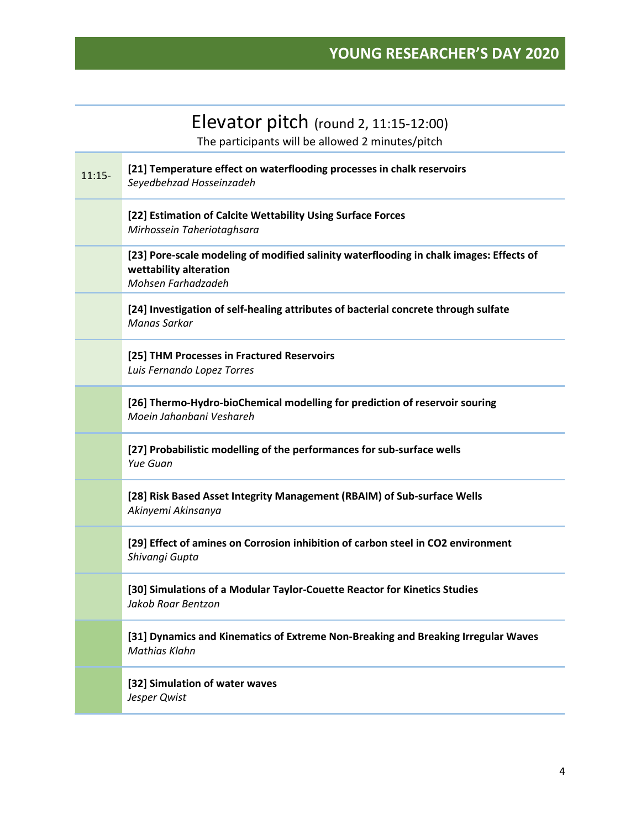### Elevator pitch (round 2, 11:15-12:00)

The participants will be allowed 2 minutes/pitch

| $11:15-$ | [21] Temperature effect on waterflooding processes in chalk reservoirs<br>Seyedbehzad Hosseinzadeh                                      |
|----------|-----------------------------------------------------------------------------------------------------------------------------------------|
|          | [22] Estimation of Calcite Wettability Using Surface Forces<br>Mirhossein Taheriotaghsara                                               |
|          | [23] Pore-scale modeling of modified salinity waterflooding in chalk images: Effects of<br>wettability alteration<br>Mohsen Farhadzadeh |
|          | [24] Investigation of self-healing attributes of bacterial concrete through sulfate<br>Manas Sarkar                                     |
|          | [25] THM Processes in Fractured Reservoirs<br>Luis Fernando Lopez Torres                                                                |
|          | [26] Thermo-Hydro-bioChemical modelling for prediction of reservoir souring<br>Moein Jahanbani Veshareh                                 |
|          | [27] Probabilistic modelling of the performances for sub-surface wells<br>Yue Guan                                                      |
|          | [28] Risk Based Asset Integrity Management (RBAIM) of Sub-surface Wells<br>Akinyemi Akinsanya                                           |
|          | [29] Effect of amines on Corrosion inhibition of carbon steel in CO2 environment<br>Shivangi Gupta                                      |
|          | [30] Simulations of a Modular Taylor-Couette Reactor for Kinetics Studies<br>Jakob Roar Bentzon                                         |
|          | [31] Dynamics and Kinematics of Extreme Non-Breaking and Breaking Irregular Waves<br>Mathias Klahn                                      |
|          | [32] Simulation of water waves<br>Jesper Qwist                                                                                          |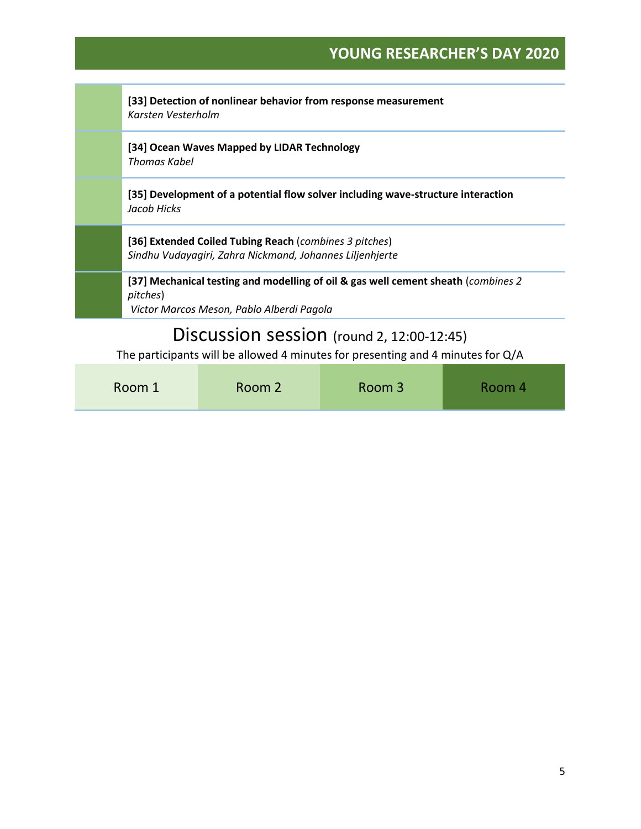|                                                                                                                                | [33] Detection of nonlinear behavior from response measurement<br>Karsten Vesterholm                                                        |  |  |
|--------------------------------------------------------------------------------------------------------------------------------|---------------------------------------------------------------------------------------------------------------------------------------------|--|--|
|                                                                                                                                | [34] Ocean Waves Mapped by LIDAR Technology<br>Thomas Kabel                                                                                 |  |  |
|                                                                                                                                | [35] Development of a potential flow solver including wave-structure interaction<br>Jacob Hicks                                             |  |  |
|                                                                                                                                | [36] Extended Coiled Tubing Reach (combines 3 pitches)<br>Sindhu Vudayagiri, Zahra Nickmand, Johannes Liljenhjerte                          |  |  |
|                                                                                                                                | [37] Mechanical testing and modelling of oil & gas well cement sheath (combines 2)<br>pitches)<br>Victor Marcos Meson, Pablo Alberdi Pagola |  |  |
| Discussion session (round 2, 12:00-12:45)<br>The participants will be allowed 4 minutes for presenting and 4 minutes for $Q/A$ |                                                                                                                                             |  |  |
|                                                                                                                                |                                                                                                                                             |  |  |

| Room 1 | Room 2 | Room 3 | Room 4 |
|--------|--------|--------|--------|
|--------|--------|--------|--------|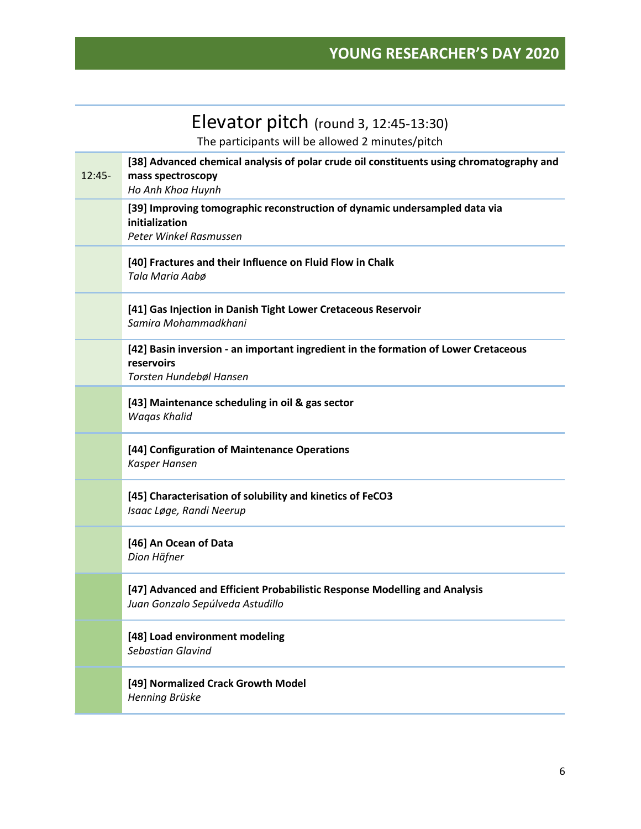## Elevator pitch (round 3, 12:45-13:30)

The participants will be allowed 2 minutes/pitch

| [38] Advanced chemical analysis of polar crude oil constituents using chromatography and<br>mass spectroscopy<br>Ho Anh Khoa Huynh |
|------------------------------------------------------------------------------------------------------------------------------------|
| [39] Improving tomographic reconstruction of dynamic undersampled data via<br>initialization<br>Peter Winkel Rasmussen             |
| [40] Fractures and their Influence on Fluid Flow in Chalk<br>Tala Maria Aabø                                                       |
| [41] Gas Injection in Danish Tight Lower Cretaceous Reservoir<br>Samira Mohammadkhani                                              |
| [42] Basin inversion - an important ingredient in the formation of Lower Cretaceous<br>reservoirs<br>Torsten Hundebøl Hansen       |
| [43] Maintenance scheduling in oil & gas sector<br><b>Wagas Khalid</b>                                                             |
| [44] Configuration of Maintenance Operations<br>Kasper Hansen                                                                      |
| [45] Characterisation of solubility and kinetics of FeCO3<br>Isaac Løge, Randi Neerup                                              |
| [46] An Ocean of Data<br>Dion Häfner                                                                                               |
| [47] Advanced and Efficient Probabilistic Response Modelling and Analysis<br>Juan Gonzalo Sepúlveda Astudillo                      |
| [48] Load environment modeling<br><b>Sebastian Glavind</b>                                                                         |
| [49] Normalized Crack Growth Model<br>Henning Brüske                                                                               |
|                                                                                                                                    |